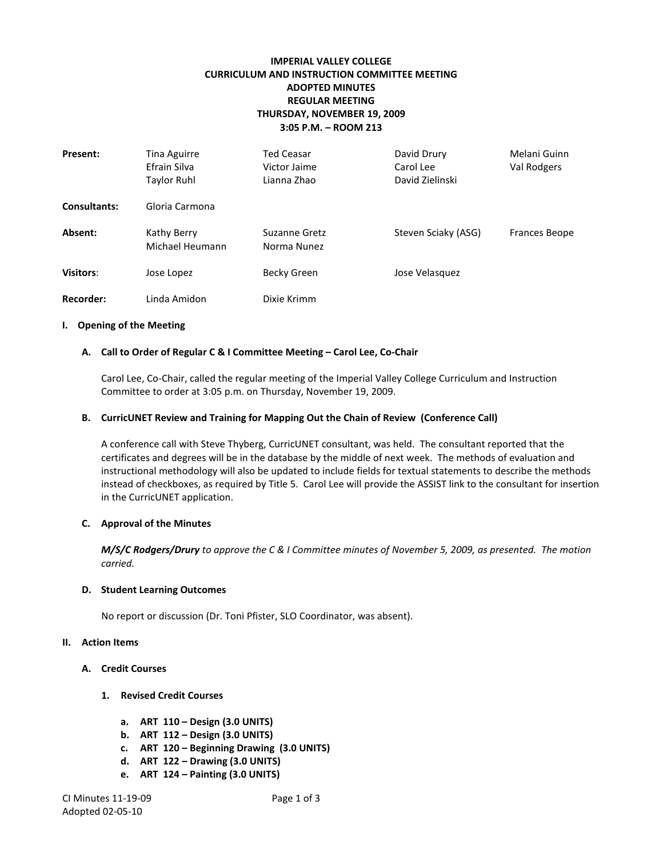# **IMPERIAL VALLEY COLLEGE CURRICULUM AND INSTRUCTION COMMITTEE MEETING ADOPTED MINUTES REGULAR MEETING THURSDAY, NOVEMBER 19, 2009 3:05 P.M. – ROOM 213**

| Present:            | Tina Aguirre<br>Efrain Silva<br>Taylor Ruhl | Ted Ceasar<br>Victor Jaime<br>Lianna Zhao | David Drury<br>Carol Lee<br>David Zielinski | Melani Guinn<br>Val Rodgers |
|---------------------|---------------------------------------------|-------------------------------------------|---------------------------------------------|-----------------------------|
| <b>Consultants:</b> | Gloria Carmona                              |                                           |                                             |                             |
| Absent:             | Kathy Berry<br>Michael Heumann              | Suzanne Gretz<br>Norma Nunez              | Steven Sciaky (ASG)                         | Frances Beope               |
| Visitors:           | Jose Lopez                                  | Becky Green                               | Jose Velasquez                              |                             |
| Recorder:           | Linda Amidon                                | Dixie Krimm                               |                                             |                             |

#### **I. Opening of the Meeting**

#### **A. Call to Order of Regular C & I Committee Meeting – Carol Lee, Co-Chair**

Carol Lee, Co-Chair, called the regular meeting of the Imperial Valley College Curriculum and Instruction Committee to order at 3:05 p.m. on Thursday, November 19, 2009.

#### **B. CurricUNET Review and Training for Mapping Out the Chain of Review (Conference Call)**

A conference call with Steve Thyberg, CurricUNET consultant, was held. The consultant reported that the certificates and degrees will be in the database by the middle of next week. The methods of evaluation and instructional methodology will also be updated to include fields for textual statements to describe the methods instead of checkboxes, as required by Title 5. Carol Lee will provide the ASSIST link to the consultant for insertion in the CurricUNET application.

#### **C. Approval of the Minutes**

*M/S/C Rodgers/Drury to approve the C & I Committee minutes of November 5, 2009, as presented. The motion carried.*

#### **D. Student Learning Outcomes**

No report or discussion (Dr. Toni Pfister, SLO Coordinator, was absent).

#### **II. Action Items**

- **A. Credit Courses**
	- **1. Revised Credit Courses**
		- **a. ART 110 – Design (3.0 UNITS)**
		- **b. ART 112 – Design (3.0 UNITS)**
		- **c. ART 120 – Beginning Drawing (3.0 UNITS)**
		- **d. ART 122 – Drawing (3.0 UNITS)**
		- **e. ART 124 – Painting (3.0 UNITS)**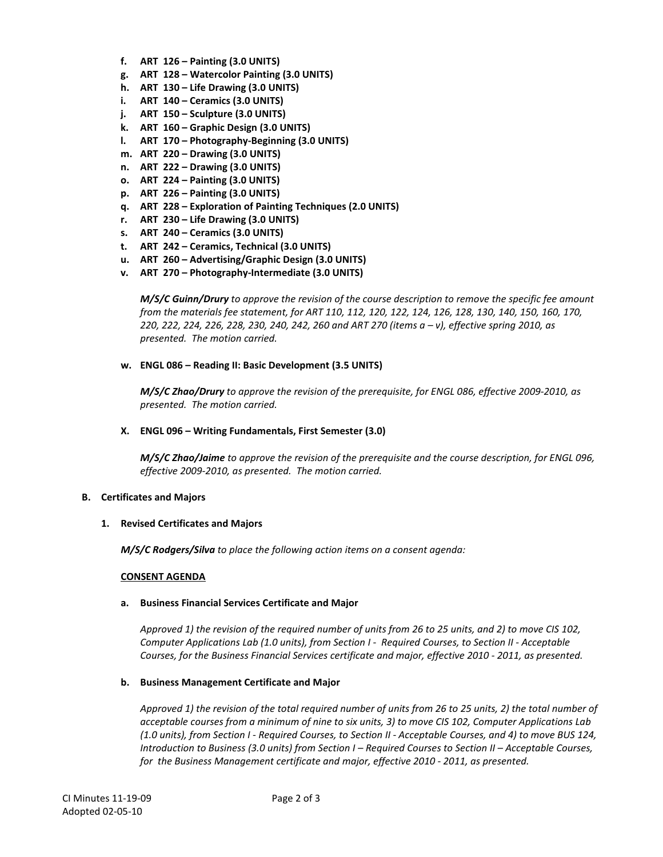- **f. ART 126 – Painting (3.0 UNITS)**
- **g. ART 128 – Watercolor Painting (3.0 UNITS)**
- **h. ART 130 – Life Drawing (3.0 UNITS)**
- **i. ART 140 – Ceramics (3.0 UNITS)**
- **j. ART 150 – Sculpture (3.0 UNITS)**
- **k. ART 160 – Graphic Design (3.0 UNITS)**
- **l. ART 170 – Photography-Beginning (3.0 UNITS)**
- **m. ART 220 – Drawing (3.0 UNITS)**
- **n. ART 222 – Drawing (3.0 UNITS)**
- **o. ART 224 – Painting (3.0 UNITS)**
- **p. ART 226 – Painting (3.0 UNITS)**
- **q. ART 228 – Exploration of Painting Techniques (2.0 UNITS)**
- **r. ART 230 – Life Drawing (3.0 UNITS)**
- **s. ART 240 – Ceramics (3.0 UNITS)**
- **t. ART 242 – Ceramics, Technical (3.0 UNITS)**
- **u. ART 260 – Advertising/Graphic Design (3.0 UNITS)**
- **v. ART 270 – Photography-Intermediate (3.0 UNITS)**

*M/S/C Guinn/Drury to approve the revision of the course description to remove the specific fee amount from the materials fee statement, for ART 110, 112, 120, 122, 124, 126, 128, 130, 140, 150, 160, 170, 220, 222, 224, 226, 228, 230, 240, 242, 260 and ART 270 (items a – v), effective spring 2010, as presented. The motion carried.*

**w. ENGL 086 – Reading II: Basic Development (3.5 UNITS)**

*M/S/C Zhao/Drury to approve the revision of the prerequisite, for ENGL 086, effective 2009-2010, as presented. The motion carried.*

## **X. ENGL 096 – Writing Fundamentals, First Semester (3.0)**

*M/S/C Zhao/Jaime to approve the revision of the prerequisite and the course description, for ENGL 096, effective 2009-2010, as presented. The motion carried.*

## **B. Certificates and Majors**

## **1. Revised Certificates and Majors**

*M/S/C Rodgers/Silva to place the following action items on a consent agenda:*

## **CONSENT AGENDA**

## **a. Business Financial Services Certificate and Major**

*Approved 1) the revision of the required number of units from 26 to 25 units, and 2) to move CIS 102, Computer Applications Lab (1.0 units), from Section I - Required Courses, to Section II - Acceptable Courses, for the Business Financial Services certificate and major, effective 2010 - 2011, as presented.*

## **b. Business Management Certificate and Major**

*Approved 1) the revision of the total required number of units from 26 to 25 units, 2) the total number of acceptable courses from a minimum of nine to six units, 3) to move CIS 102, Computer Applications Lab (1.0 units), from Section I - Required Courses, to Section II - Acceptable Courses, and 4) to move BUS 124, Introduction to Business (3.0 units) from Section I – Required Courses to Section II – Acceptable Courses, for the Business Management certificate and major, effective 2010 - 2011, as presented.*